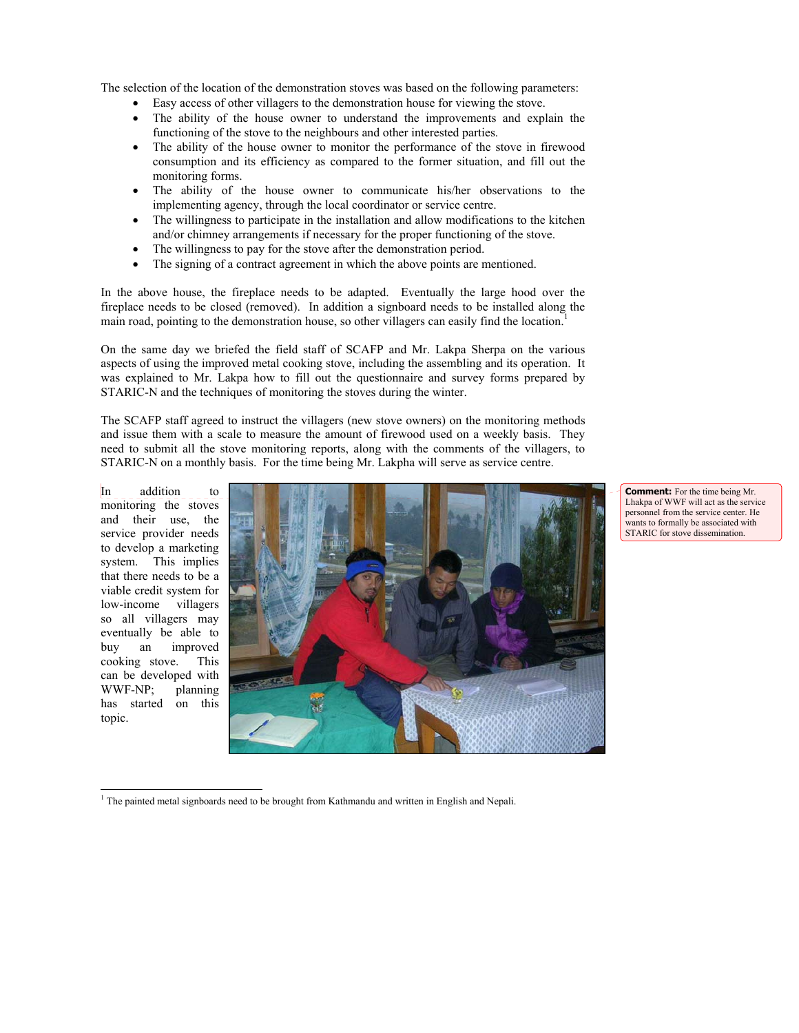The selection of the location of the demonstration stoves was based on the following parameters:

- Easy access of other villagers to the demonstration house for viewing the stove.
- The ability of the house owner to understand the improvements and explain the functioning of the stove to the neighbours and other interested parties.
- The ability of the house owner to monitor the performance of the stove in firewood consumption and its efficiency as compared to the former situation, and fill out the monitoring forms.
- The ability of the house owner to communicate his/her observations to the implementing agency, through the local coordinator or service centre.
- The willingness to participate in the installation and allow modifications to the kitchen and/or chimney arrangements if necessary for the proper functioning of the stove.
- The willingness to pay for the stove after the demonstration period.
- The signing of a contract agreement in which the above points are mentioned.

In the above house, the fireplace needs to be adapted. Eventually the large hood over the fireplace needs to be closed (removed). In addition a signboard needs to be installed along the main road, pointing to the demonstration house, so other villagers can easily find the location.<sup>1</sup>

On the same day we briefed the field staff of SCAFP and Mr. Lakpa Sherpa on the various aspects of using the improved metal cooking stove, including the assembling and its operation. It was explained to Mr. Lakpa how to fill out the questionnaire and survey forms prepared by STARIC-N and the techniques of monitoring the stoves during the winter.

The SCAFP staff agreed to instruct the villagers (new stove owners) on the monitoring methods and issue them with a scale to measure the amount of firewood used on a weekly basis. They need to submit all the stove monitoring reports, along with the comments of the villagers, to STARIC-N on a monthly basis. For the time being Mr. Lakpha will serve as service centre.

In addition to monitoring the stoves and their use, the service provider needs to develop a marketing system. This implies that there needs to be a viable credit system for low-income villagers so all villagers may eventually be able to buy an improved cooking stove. This can be developed with WWF-NP; planning has started on this topic.

 $\overline{a}$ 



**Comment:** For the time being Mr. Lhakpa of WWF will act as the service personnel from the service center. He wants to formally be associated with STARIC for stove dissemination.

 $1$  The painted metal signboards need to be brought from Kathmandu and written in English and Nepali.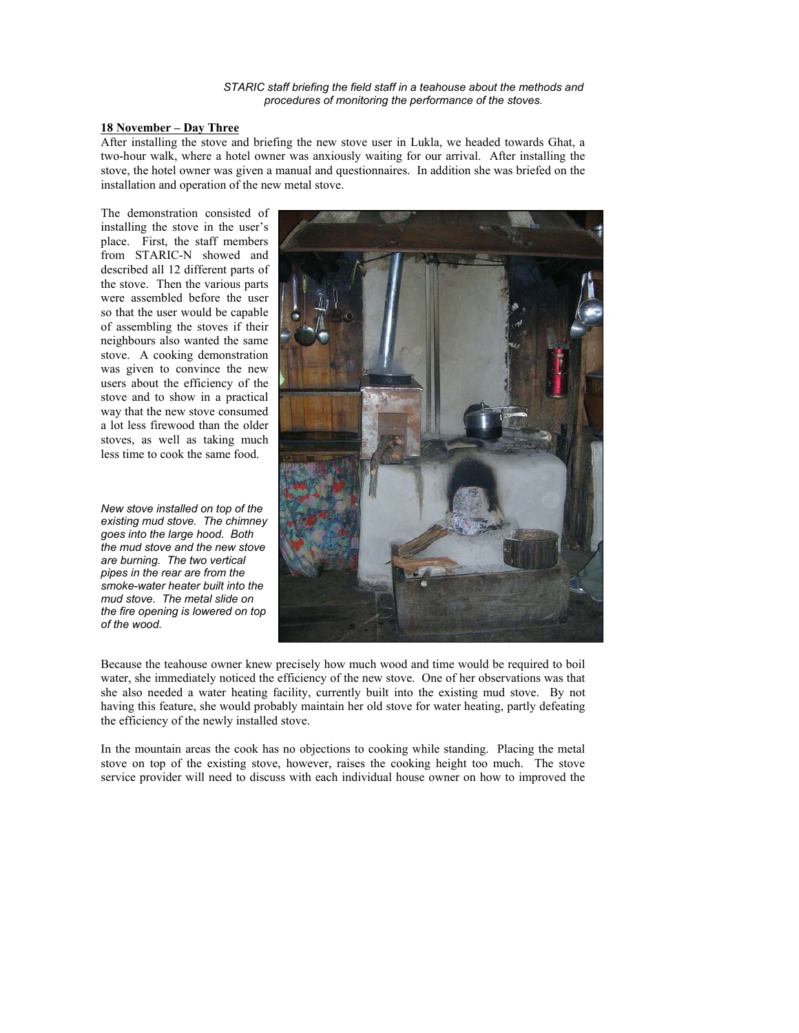*STARIC staff briefing the field staff in a teahouse about the methods and procedures of monitoring the performance of the stoves.* 

#### **18 November – Day Three**

After installing the stove and briefing the new stove user in Lukla, we headed towards Ghat, a two-hour walk, where a hotel owner was anxiously waiting for our arrival. After installing the stove, the hotel owner was given a manual and questionnaires. In addition she was briefed on the installation and operation of the new metal stove.

The demonstration consisted of installing the stove in the user's place. First, the staff members from STARIC-N showed and described all 12 different parts of the stove. Then the various parts were assembled before the user so that the user would be capable of assembling the stoves if their neighbours also wanted the same stove. A cooking demonstration was given to convince the new users about the efficiency of the stove and to show in a practical way that the new stove consumed a lot less firewood than the older stoves, as well as taking much less time to cook the same food.

*New stove installed on top of the existing mud stove. The chimney goes into the large hood. Both the mud stove and the new stove are burning. The two vertical pipes in the rear are from the smoke-water heater built into the mud stove. The metal slide on the fire opening is lowered on top of the wood.* 



Because the teahouse owner knew precisely how much wood and time would be required to boil water, she immediately noticed the efficiency of the new stove. One of her observations was that she also needed a water heating facility, currently built into the existing mud stove. By not having this feature, she would probably maintain her old stove for water heating, partly defeating the efficiency of the newly installed stove.

In the mountain areas the cook has no objections to cooking while standing. Placing the metal stove on top of the existing stove, however, raises the cooking height too much. The stove service provider will need to discuss with each individual house owner on how to improved the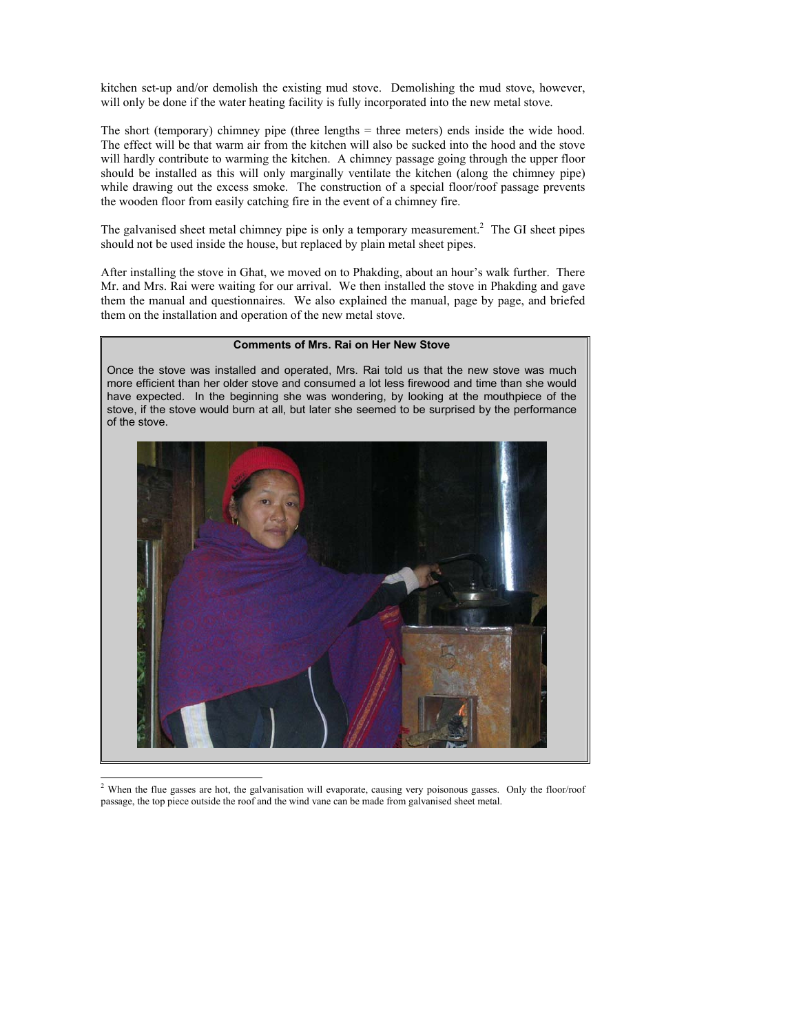kitchen set-up and/or demolish the existing mud stove. Demolishing the mud stove, however, will only be done if the water heating facility is fully incorporated into the new metal stove.

The short (temporary) chimney pipe (three lengths = three meters) ends inside the wide hood. The effect will be that warm air from the kitchen will also be sucked into the hood and the stove will hardly contribute to warming the kitchen. A chimney passage going through the upper floor should be installed as this will only marginally ventilate the kitchen (along the chimney pipe) while drawing out the excess smoke. The construction of a special floor/roof passage prevents the wooden floor from easily catching fire in the event of a chimney fire.

The galvanised sheet metal chimney pipe is only a temporary measurement.<sup>2</sup> The GI sheet pipes should not be used inside the house, but replaced by plain metal sheet pipes.

After installing the stove in Ghat, we moved on to Phakding, about an hour's walk further. There Mr. and Mrs. Rai were waiting for our arrival. We then installed the stove in Phakding and gave them the manual and questionnaires. We also explained the manual, page by page, and briefed them on the installation and operation of the new metal stove.

### **Comments of Mrs. Rai on Her New Stove**

Once the stove was installed and operated, Mrs. Rai told us that the new stove was much more efficient than her older stove and consumed a lot less firewood and time than she would have expected. In the beginning she was wondering, by looking at the mouthpiece of the stove, if the stove would burn at all, but later she seemed to be surprised by the performance of the stove.



<sup>&</sup>lt;sup>2</sup> When the flue gasses are hot, the galvanisation will evaporate, causing very poisonous gasses. Only the floor/roof passage, the top piece outside the roof and the wind vane can be made from galvanised sheet metal.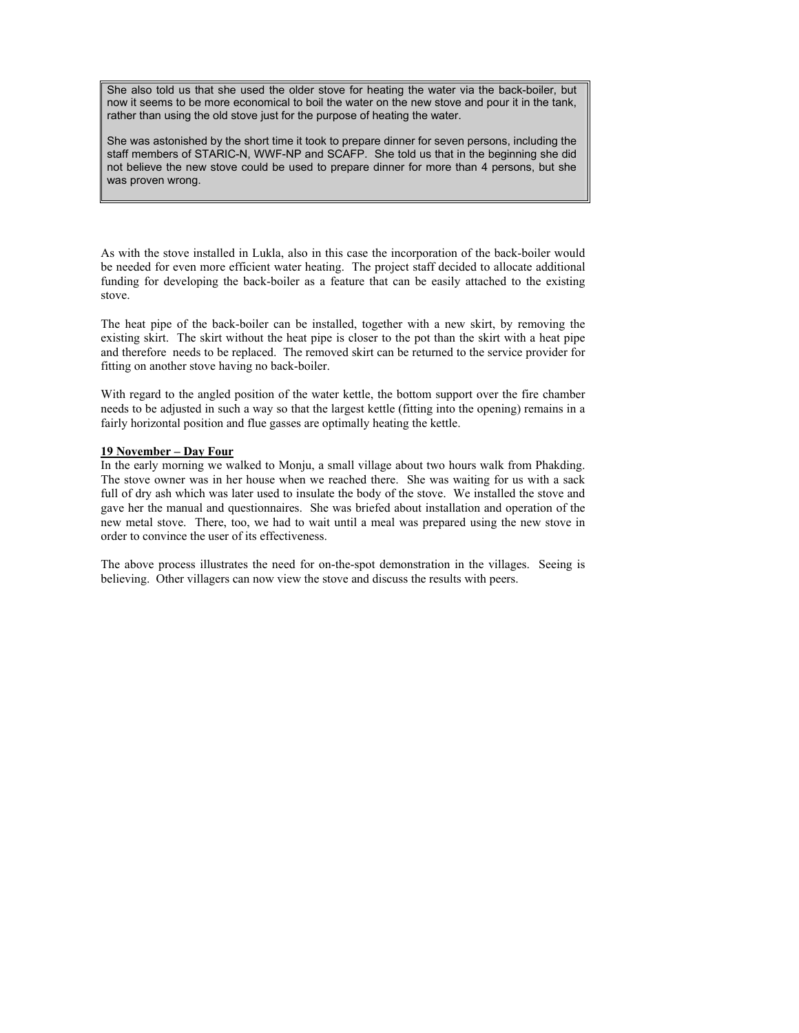She also told us that she used the older stove for heating the water via the back-boiler, but now it seems to be more economical to boil the water on the new stove and pour it in the tank, rather than using the old stove just for the purpose of heating the water.

She was astonished by the short time it took to prepare dinner for seven persons, including the staff members of STARIC-N, WWF-NP and SCAFP. She told us that in the beginning she did not believe the new stove could be used to prepare dinner for more than 4 persons, but she was proven wrong.

As with the stove installed in Lukla, also in this case the incorporation of the back-boiler would be needed for even more efficient water heating. The project staff decided to allocate additional funding for developing the back-boiler as a feature that can be easily attached to the existing stove.

The heat pipe of the back-boiler can be installed, together with a new skirt, by removing the existing skirt. The skirt without the heat pipe is closer to the pot than the skirt with a heat pipe and therefore needs to be replaced. The removed skirt can be returned to the service provider for fitting on another stove having no back-boiler.

With regard to the angled position of the water kettle, the bottom support over the fire chamber needs to be adjusted in such a way so that the largest kettle (fitting into the opening) remains in a fairly horizontal position and flue gasses are optimally heating the kettle.

#### **19 November – Day Four**

In the early morning we walked to Monju, a small village about two hours walk from Phakding. The stove owner was in her house when we reached there. She was waiting for us with a sack full of dry ash which was later used to insulate the body of the stove. We installed the stove and gave her the manual and questionnaires. She was briefed about installation and operation of the new metal stove. There, too, we had to wait until a meal was prepared using the new stove in order to convince the user of its effectiveness.

The above process illustrates the need for on-the-spot demonstration in the villages. Seeing is believing. Other villagers can now view the stove and discuss the results with peers.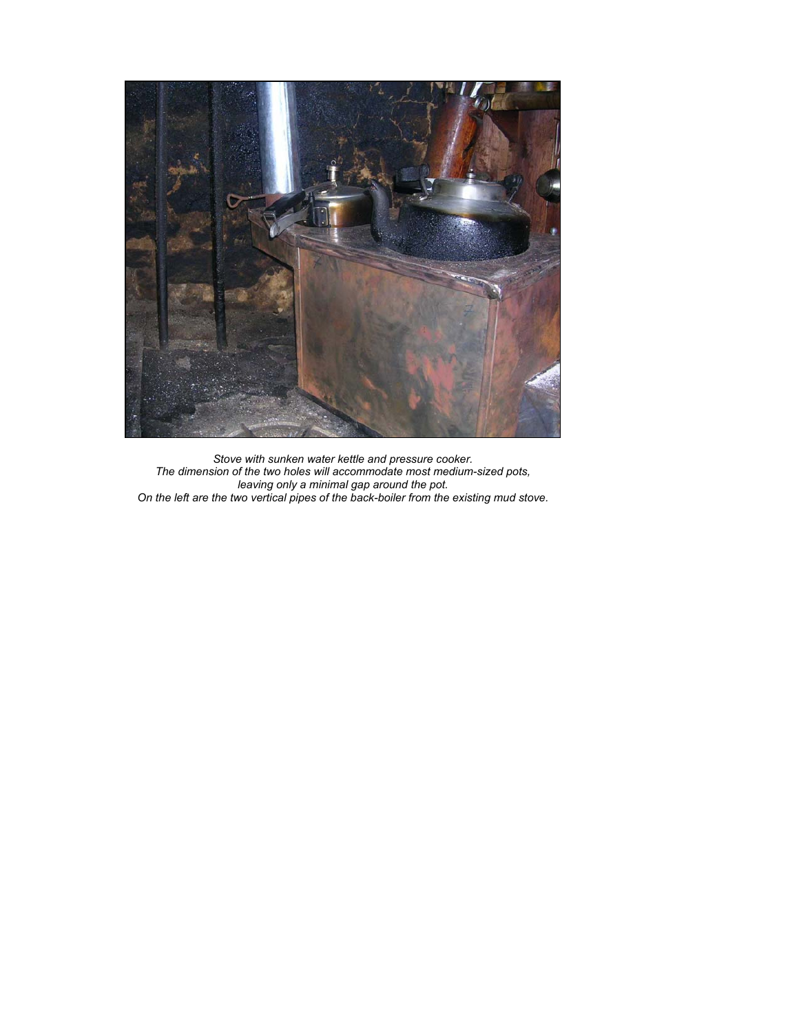

*Stove with sunken water kettle and pressure cooker. The dimension of the two holes will accommodate most medium-sized pots, leaving only a minimal gap around the pot. On the left are the two vertical pipes of the back-boiler from the existing mud stove.*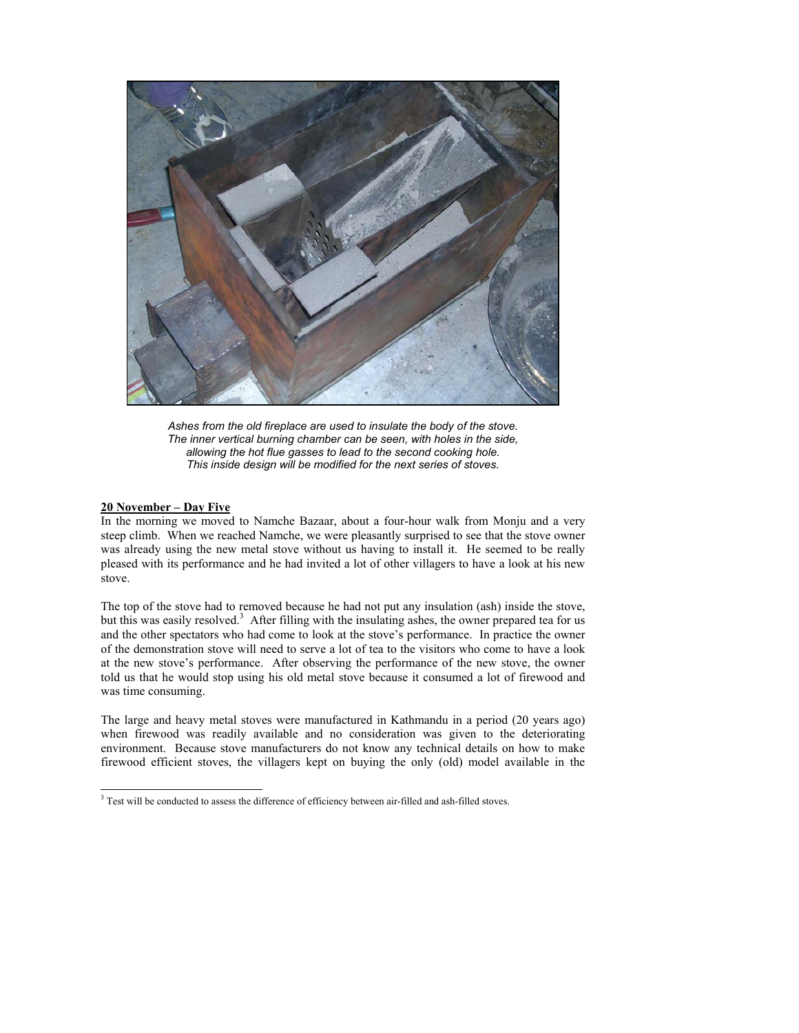

*Ashes from the old fireplace are used to insulate the body of the stove. The inner vertical burning chamber can be seen, with holes in the side, allowing the hot flue gasses to lead to the second cooking hole. This inside design will be modified for the next series of stoves.* 

#### **20 November – Day Five**

In the morning we moved to Namche Bazaar, about a four-hour walk from Monju and a very steep climb. When we reached Namche, we were pleasantly surprised to see that the stove owner was already using the new metal stove without us having to install it. He seemed to be really pleased with its performance and he had invited a lot of other villagers to have a look at his new stove.

The top of the stove had to removed because he had not put any insulation (ash) inside the stove, but this was easily resolved.<sup>3</sup> After filling with the insulating ashes, the owner prepared tea for us and the other spectators who had come to look at the stove's performance. In practice the owner of the demonstration stove will need to serve a lot of tea to the visitors who come to have a look at the new stove's performance. After observing the performance of the new stove, the owner told us that he would stop using his old metal stove because it consumed a lot of firewood and was time consuming.

The large and heavy metal stoves were manufactured in Kathmandu in a period (20 years ago) when firewood was readily available and no consideration was given to the deteriorating environment. Because stove manufacturers do not know any technical details on how to make firewood efficient stoves, the villagers kept on buying the only (old) model available in the

<sup>&</sup>lt;sup>3</sup> Test will be conducted to assess the difference of efficiency between air-filled and ash-filled stoves.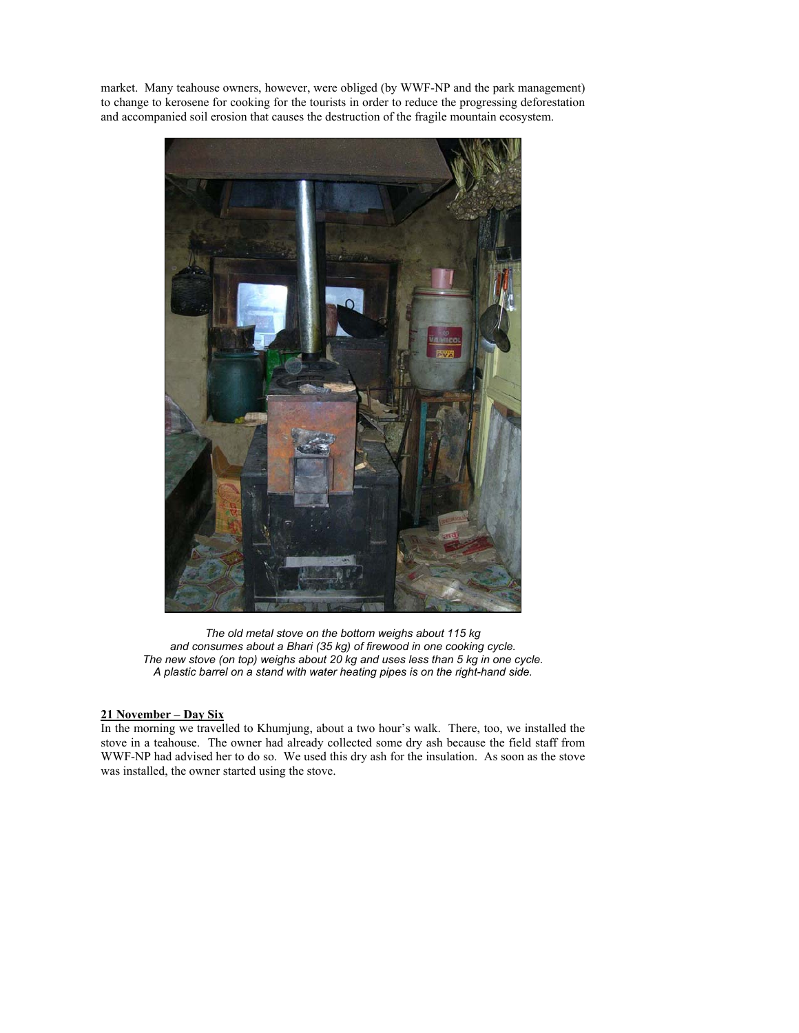market. Many teahouse owners, however, were obliged (by WWF-NP and the park management) to change to kerosene for cooking for the tourists in order to reduce the progressing deforestation and accompanied soil erosion that causes the destruction of the fragile mountain ecosystem.



*The old metal stove on the bottom weighs about 115 kg and consumes about a Bhari (35 kg) of firewood in one cooking cycle. The new stove (on top) weighs about 20 kg and uses less than 5 kg in one cycle. A plastic barrel on a stand with water heating pipes is on the right-hand side.* 

## **21 November – Day Six**

In the morning we travelled to Khumjung, about a two hour's walk. There, too, we installed the stove in a teahouse. The owner had already collected some dry ash because the field staff from WWF-NP had advised her to do so. We used this dry ash for the insulation. As soon as the stove was installed, the owner started using the stove.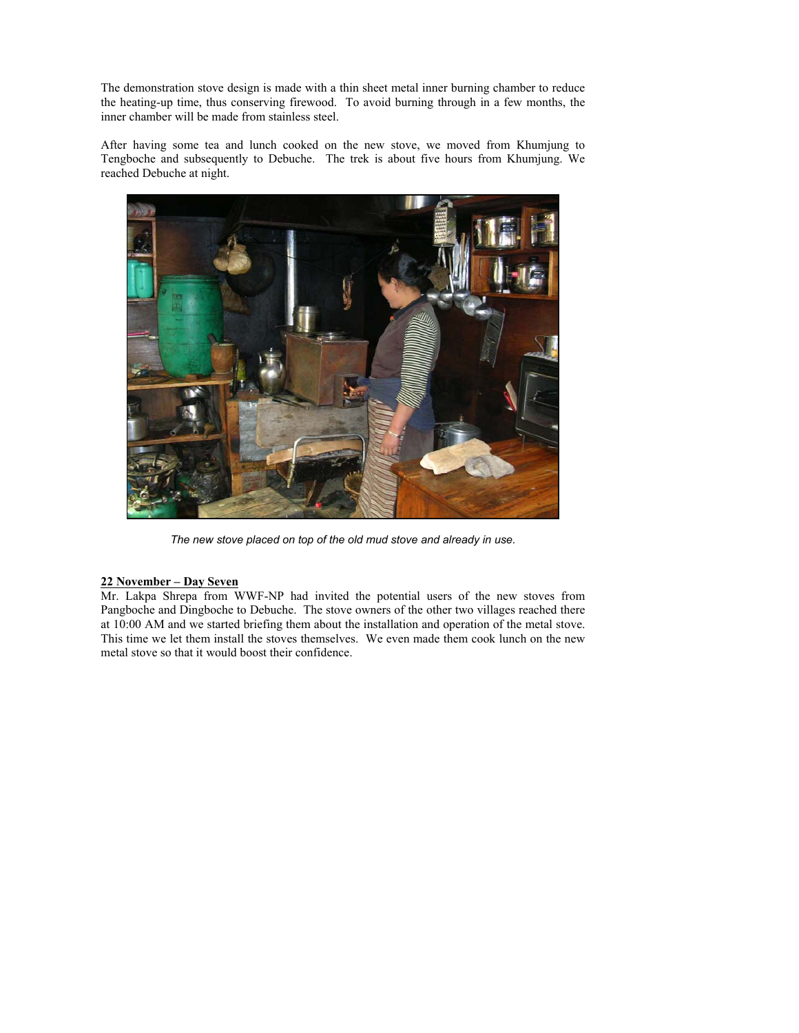The demonstration stove design is made with a thin sheet metal inner burning chamber to reduce the heating-up time, thus conserving firewood. To avoid burning through in a few months, the inner chamber will be made from stainless steel.

After having some tea and lunch cooked on the new stove, we moved from Khumjung to Tengboche and subsequently to Debuche. The trek is about five hours from Khumjung. We reached Debuche at night.



*The new stove placed on top of the old mud stove and already in use.* 

# **22 November – Day Seven**

Mr. Lakpa Shrepa from WWF-NP had invited the potential users of the new stoves from Pangboche and Dingboche to Debuche. The stove owners of the other two villages reached there at 10:00 AM and we started briefing them about the installation and operation of the metal stove. This time we let them install the stoves themselves. We even made them cook lunch on the new metal stove so that it would boost their confidence.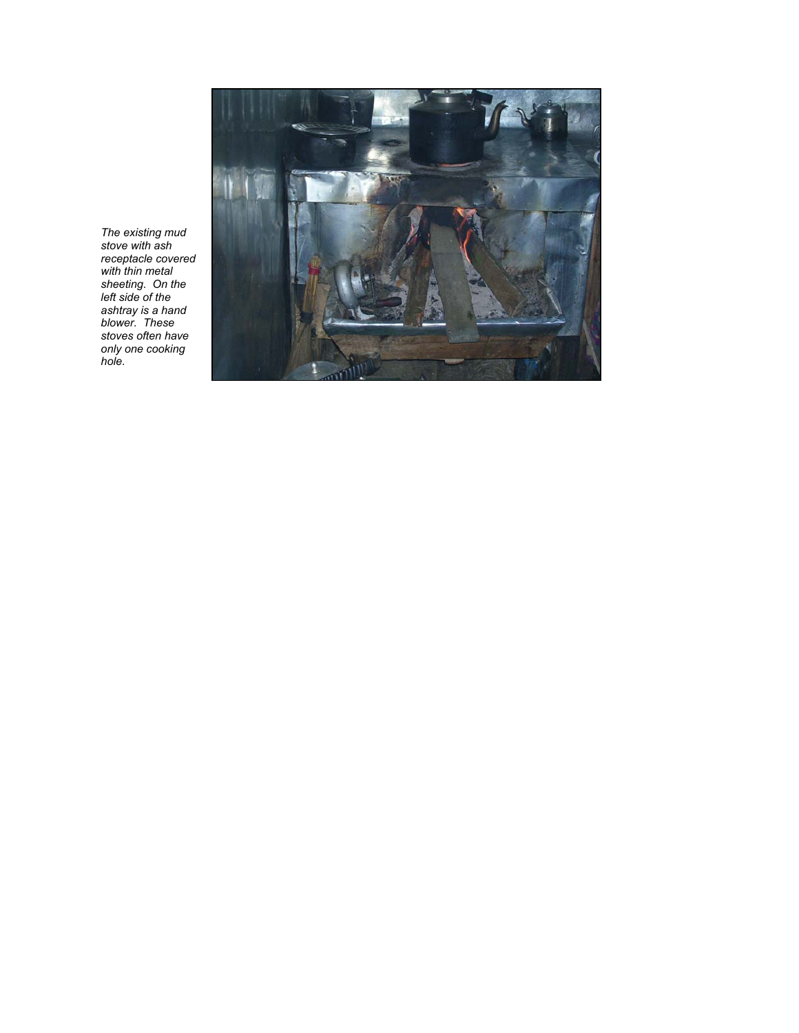

*The existing mud stove with ash receptacle covered with thin metal sheeting. On the left side of the ashtray is a hand blower. These stoves often have only one cooking hole.*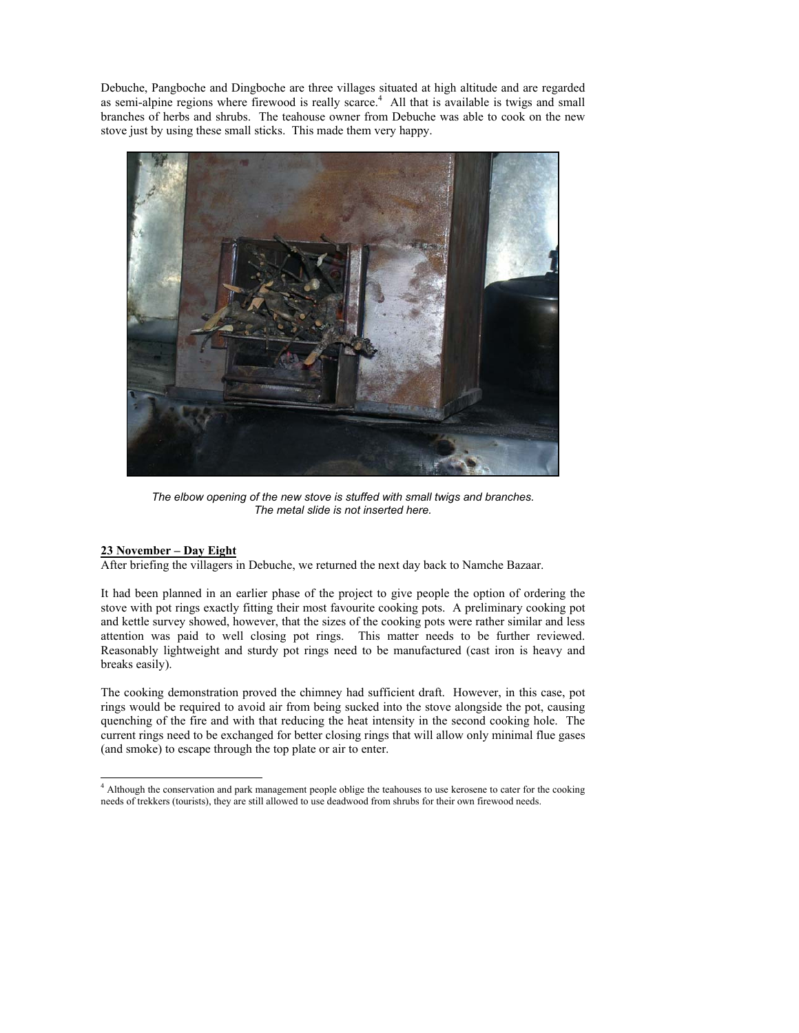Debuche, Pangboche and Dingboche are three villages situated at high altitude and are regarded as semi-alpine regions where firewood is really scarce.<sup>4</sup> All that is available is twigs and small branches of herbs and shrubs. The teahouse owner from Debuche was able to cook on the new stove just by using these small sticks. This made them very happy.



*The elbow opening of the new stove is stuffed with small twigs and branches. The metal slide is not inserted here.* 

## **23 November – Day Eight**

After briefing the villagers in Debuche, we returned the next day back to Namche Bazaar.

It had been planned in an earlier phase of the project to give people the option of ordering the stove with pot rings exactly fitting their most favourite cooking pots. A preliminary cooking pot and kettle survey showed, however, that the sizes of the cooking pots were rather similar and less attention was paid to well closing pot rings. This matter needs to be further reviewed. Reasonably lightweight and sturdy pot rings need to be manufactured (cast iron is heavy and breaks easily).

The cooking demonstration proved the chimney had sufficient draft. However, in this case, pot rings would be required to avoid air from being sucked into the stove alongside the pot, causing quenching of the fire and with that reducing the heat intensity in the second cooking hole. The current rings need to be exchanged for better closing rings that will allow only minimal flue gases (and smoke) to escape through the top plate or air to enter.

 4 Although the conservation and park management people oblige the teahouses to use kerosene to cater for the cooking needs of trekkers (tourists), they are still allowed to use deadwood from shrubs for their own firewood needs.